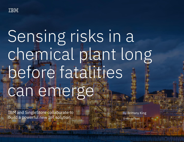

# Sensing risks in a chemical plant long before fatalities can emerge

IBM and SingleStore collaborate to build a powerful new IoT solution

by Brittany King

5-minute read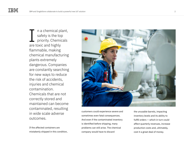n a chemical plant, safety is the top priority. Chemicals are toxic and highly flammable, making chemical manufacturing plants extremely dangerous. Companies are constantly searching for new ways to reduce the risk of accidents, injuries and chemical contamination. Chemicals that are not correctly stored and maintained can become contaminated, resulting in wide scale adverse outcomes. I

If the affected containers are mistakenly shipped in this condition,



customers could experience severe and sometimes even fatal consequences. And even if the contaminated inventory is identified before shipping, many problems can still arise. The chemical company would have to discard

the unusable barrels, impacting inventory levels and its ability to fulfill orders — which in turn could affect quarterly revenues, increase production costs and, ultimately, cost it a great deal of money.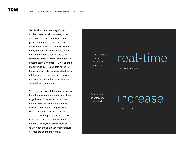IBM Business Partner SingleStore worked to solve a similar safety issue for one customer, a chemical research plant. Within this facility, containers held various chemicals that were under study and required maintenance within certain thresholds. For instance, the minimum temperature threshold for this specific plant's inventory is 27°F and the maximum is 30°F. Such data needs to be tracked using IoT sensors attached to all the stored containers, but this plant experienced fluctuating temperatures within those containers.

"They needed a digital transformation to help them become more of a data-driven organization. We needed to help them detect these temperature anomalies," says Mark Lochbihler, SingleStore's Global Director of Technical Alliances. "If container temperatures are too low or too high, the consequences could be fatal. Hence, swift action must be taken when the container's temperature crosses the defined threshold."

Delivers chemical container temperature readings in

Quality control, inventory and revenue will

increase

at chemical plant

## real-time

for actionable insights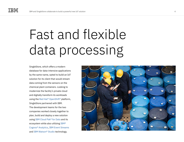## Fast and flexible data processing

SingleStore, which offers a modern database for data-intensive applications by the same name, opted to build an IoT solution for its client that would stream data coming from the sensors on the chemical plant containers. Looking to modernize the facility's private cloud and digitally transform its workloads using the [Red Hat® OpenShift®](https://www.ibm.com/cloud/openshift) platform, SingleStore partnered with IBM. The development teams for the two companies worked closely together to plan, build and deploy a new solution using [IBM Cloud Pak® for Data](https://www.ibm.com/products/cloud-pak-for-data) and its ecosystem while also utilizing [IBM®](https://www.ibm.com/products/cognos-analytics)  [Cognos® Analytics,](https://www.ibm.com/products/cognos-analytics) [IBM Event Streams](https://www.ibm.com/cloud/event-streams) and [IBM Watson® Studio](https://www.ibm.com/watson-studio) technology.

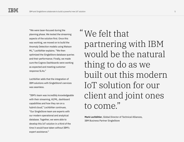"We were laser-focused during the planning phase. We tested the streaming aspects of the solution first. Once this was working, we moved on to build the Anomaly Detection models using Watson ML," Lochbihler explains. "We then optimized the SingleStore database queries and their performance. Finally, we made sure the Cognos Dashboards were working as expected and meeting customer response SLAs."

Lochbihler adds that the integration of IBM solutions with SingleStore's services was seamless.

"IBM's team was incredibly knowledgeable with their streaming, AI/ML, dashboard capabilities and how they ran on a hybrid cloud," Lochbihler continues. "Our SingleStore team are experts with our modern operational and analytical database. Together, we were able to develop this IoT solution in a third of the time it would have taken without IBM's expert assistance."

We felt that "partnering with IBM would be the natural thing to do as we built out this modern IoT solution for our client and joint ones to come."

**Mark Lochbihler**, Global Director of Technical Alliances, IBM Business Partner SingleStore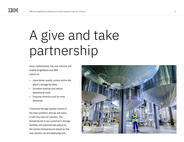## A give and take partnership

Once implemented, the new solution will enable SingleStore and IBM clients to:

- Have better quality control within the plant's storage facilities
- Increase revenue and reduce operational costs
- Improve inventory and on-time deliveries

"Chemical Storage Quality Control is the main problem, and we will solve it with this new IoT solution. The temperatures in our customer's storage facilities will automatically adjust to the correct temperatures based on the new solution we are deploying with

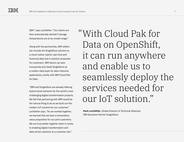IBM," says Lochbihler. "Our clients are then automatically alerted if storage temperatures are at an unsafe range."

Along with the partnership, IBM sellers can include the SingleStore solution as a cloud-native, hybrid, real-time and historical data hub in solution proposals for customers. IBM teams can also incorporate and resell SingleStore as a modern data layer for data-intensive applications, jointly with IBM Cloud Pak for Data.

"IBM and SingleStore are already offering hybrid cloud solutions for the world's most challenging digital transformation projects. We felt that partnering with IBM would be the natural thing to do as we built out this modern IoT solution for our customer," Lochbihler says. "As we worked together, we learned that we have a tremendous value proposition for our joint customers. We are truly better together when it comes to enabling digital transformation and data-driven solutions at a customer site."

With Cloud Pak for "Data on OpenShift, it can run anywhere and enable us to seamlessly deploy the services needed for our IoT solution."

**Mark Lochbihler**, Global Director of Technical Alliances, IBM Business Partner SingleStore